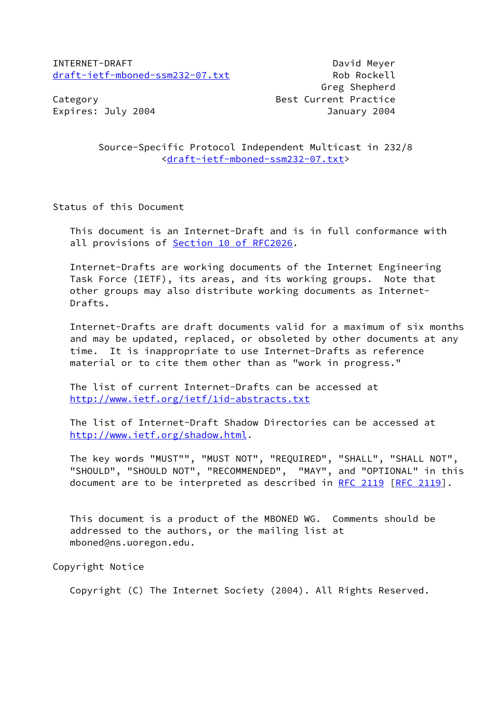INTERNET-DRAFT **DAVID SERVIT SERVITS AND ALL STATES AND ALL STATES AND ALL STATES AND ALL STATES AND ALL STATES AND ALL STATES AND ALL STATES AND ALL STATES AND ALL STATES AND ALL STATES AND ALL STATES AND ALL STATES AND A** [draft-ietf-mboned-ssm232-07.txt](https://datatracker.ietf.org/doc/pdf/draft-ietf-mboned-ssm232-07.txt) Rob Rockell

 Greg Shepherd Category Best Current Practice Expires: July 2004 **Internal Contract Contract Contract Contract Contract Contract Contract Contract Contract Contract Contract Contract Contract Contract Contract Contract Contract Contract Contract Contract Contract Cont** 

> Source-Specific Protocol Independent Multicast in 232/8 [<draft-ietf-mboned-ssm232-07.txt](https://datatracker.ietf.org/doc/pdf/draft-ietf-mboned-ssm232-07.txt)>

Status of this Document

 This document is an Internet-Draft and is in full conformance with all provisions of Section [10 of RFC2026.](https://datatracker.ietf.org/doc/pdf/rfc2026#section-10)

 Internet-Drafts are working documents of the Internet Engineering Task Force (IETF), its areas, and its working groups. Note that other groups may also distribute working documents as Internet- Drafts.

 Internet-Drafts are draft documents valid for a maximum of six months and may be updated, replaced, or obsoleted by other documents at any time. It is inappropriate to use Internet-Drafts as reference material or to cite them other than as "work in progress."

 The list of current Internet-Drafts can be accessed at <http://www.ietf.org/ietf/1id-abstracts.txt>

 The list of Internet-Draft Shadow Directories can be accessed at <http://www.ietf.org/shadow.html>.

 The key words "MUST"", "MUST NOT", "REQUIRED", "SHALL", "SHALL NOT", "SHOULD", "SHOULD NOT", "RECOMMENDED", "MAY", and "OPTIONAL" in this document are to be interpreted as described in [RFC 2119 \[RFC 2119](https://datatracker.ietf.org/doc/pdf/rfc2119)].

 This document is a product of the MBONED WG. Comments should be addressed to the authors, or the mailing list at mboned@ns.uoregon.edu.

Copyright Notice

Copyright (C) The Internet Society (2004). All Rights Reserved.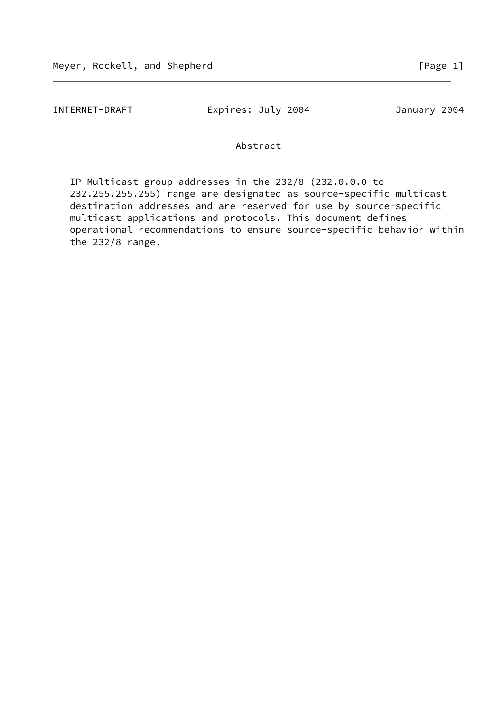INTERNET-DRAFT Expires: July 2004 January 2004

Abstract

 IP Multicast group addresses in the 232/8 (232.0.0.0 to 232.255.255.255) range are designated as source-specific multicast destination addresses and are reserved for use by source-specific multicast applications and protocols. This document defines operational recommendations to ensure source-specific behavior within the 232/8 range.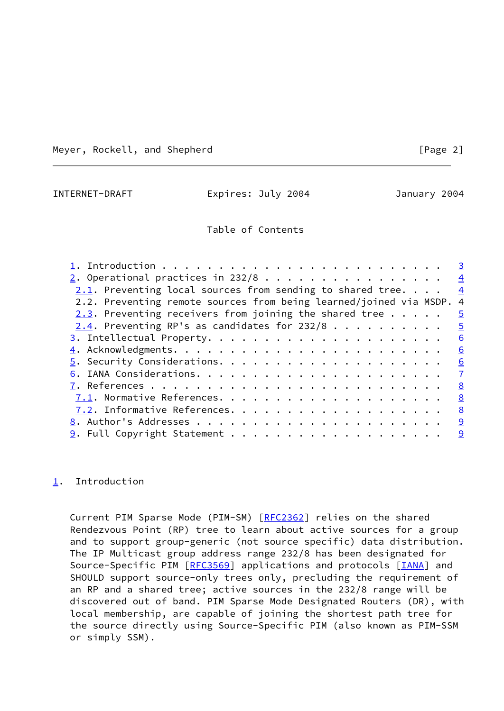Meyer, Rockell, and Shepherd [Page 2]

<span id="page-2-1"></span>INTERNET-DRAFT Expires: July 2004 January 2004

### Table of Contents

|                                                                      | $\overline{3}$ |
|----------------------------------------------------------------------|----------------|
| $\underline{2}$ . Operational practices in 232/8 4                   |                |
| $2.1$ . Preventing local sources from sending to shared tree.        | $\overline{4}$ |
| 2.2. Preventing remote sources from being learned/joined via MSDP. 4 |                |
| $2.3$ . Preventing receivers from joining the shared tree            | $\overline{5}$ |
| $2.4$ . Preventing RP's as candidates for 232/8                      | $\overline{5}$ |
|                                                                      | 6              |
|                                                                      | 6              |
|                                                                      | <u>_6</u>      |
|                                                                      | $\mathbf{Z}$   |
|                                                                      | <u>8</u>       |
|                                                                      | 8              |
| 7.2. Informative References.                                         | 8              |
|                                                                      | $\overline{9}$ |
|                                                                      | 9              |
|                                                                      |                |

# <span id="page-2-0"></span>[1](#page-2-0). Introduction

Current PIM Sparse Mode (PIM-SM) [\[RFC2362](https://datatracker.ietf.org/doc/pdf/rfc2362)] relies on the shared Rendezvous Point (RP) tree to learn about active sources for a group and to support group-generic (not source specific) data distribution. The IP Multicast group address range 232/8 has been designated for Source-Specific PIM [\[RFC3569](https://datatracker.ietf.org/doc/pdf/rfc3569)] applications and protocols [\[IANA](#page-8-1)] and SHOULD support source-only trees only, precluding the requirement of an RP and a shared tree; active sources in the 232/8 range will be discovered out of band. PIM Sparse Mode Designated Routers (DR), with local membership, are capable of joining the shortest path tree for the source directly using Source-Specific PIM (also known as PIM-SSM or simply SSM).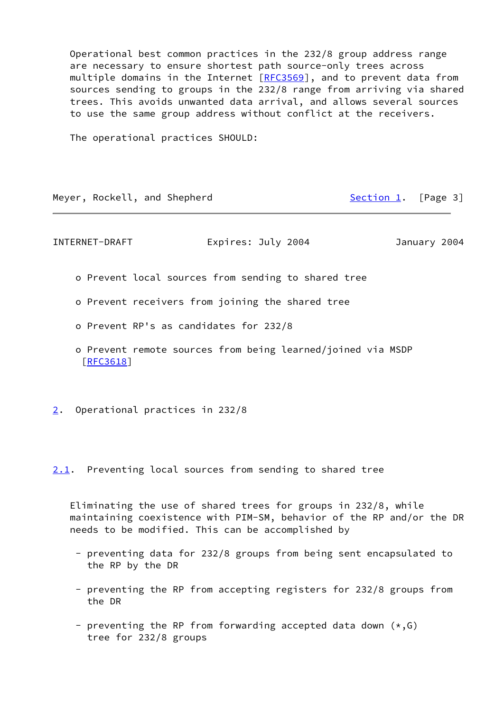Operational best common practices in the 232/8 group address range are necessary to ensure shortest path source-only trees across multiple domains in the Internet [\[RFC3569](https://datatracker.ietf.org/doc/pdf/rfc3569)], and to prevent data from sources sending to groups in the 232/8 range from arriving via shared trees. This avoids unwanted data arrival, and allows several sources to use the same group address without conflict at the receivers.

The operational practices SHOULD:

|  | Meyer, Rockell, and Shepherd | $Section 1.$ [Page 3] |  |
|--|------------------------------|-----------------------|--|
|--|------------------------------|-----------------------|--|

<span id="page-3-1"></span>

| INTERNET-DRAFT | Expires: July 2004                                  | January 2004 |  |
|----------------|-----------------------------------------------------|--------------|--|
|                |                                                     |              |  |
|                | o Prevent local sources from sending to shared tree |              |  |
|                | o Prevent receivers from joining the shared tree    |              |  |
|                | o Prevent RP's as candidates for 232/8              |              |  |

- o Prevent remote sources from being learned/joined via MSDP [[RFC3618](https://datatracker.ietf.org/doc/pdf/rfc3618)]
- <span id="page-3-0"></span>[2](#page-3-0). Operational practices in 232/8

<span id="page-3-2"></span>[2.1](#page-3-2). Preventing local sources from sending to shared tree

 Eliminating the use of shared trees for groups in 232/8, while maintaining coexistence with PIM-SM, behavior of the RP and/or the DR needs to be modified. This can be accomplished by

- preventing data for 232/8 groups from being sent encapsulated to the RP by the DR
- preventing the RP from accepting registers for 232/8 groups from the DR
- preventing the RP from forwarding accepted data down  $(*, G)$ tree for 232/8 groups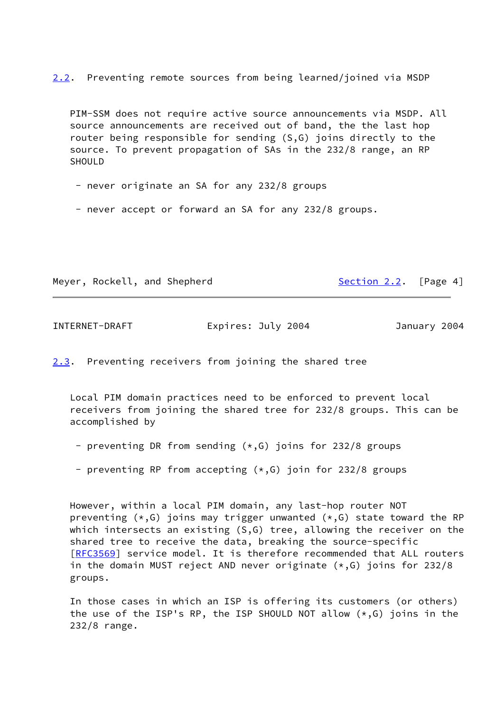<span id="page-4-2"></span>[2.2](#page-4-2). Preventing remote sources from being learned/joined via MSDP

 PIM-SSM does not require active source announcements via MSDP. All source announcements are received out of band, the the last hop router being responsible for sending (S,G) joins directly to the source. To prevent propagation of SAs in the 232/8 range, an RP SHOULD

- never originate an SA for any 232/8 groups

- never accept or forward an SA for any 232/8 groups.

|  |  | Meyer, Rockell, and Shepherd | Section 2.2. [Page 4] |  |
|--|--|------------------------------|-----------------------|--|
|--|--|------------------------------|-----------------------|--|

<span id="page-4-1"></span>INTERNET-DRAFT Expires: July 2004 January 2004

<span id="page-4-0"></span>[2.3](#page-4-0). Preventing receivers from joining the shared tree

 Local PIM domain practices need to be enforced to prevent local receivers from joining the shared tree for 232/8 groups. This can be accomplished by

- preventing DR from sending  $(*,G)$  joins for 232/8 groups
- preventing RP from accepting  $(*,G)$  join for 232/8 groups

 However, within a local PIM domain, any last-hop router NOT preventing  $(*,G)$  joins may trigger unwanted  $(*,G)$  state toward the RP which intersects an existing (S,G) tree, allowing the receiver on the shared tree to receive the data, breaking the source-specific [\[RFC3569](https://datatracker.ietf.org/doc/pdf/rfc3569)] service model. It is therefore recommended that ALL routers in the domain MUST reject AND never originate  $(*, G)$  joins for 232/8 groups.

 In those cases in which an ISP is offering its customers (or others) the use of the ISP's RP, the ISP SHOULD NOT allow  $(*, G)$  joins in the 232/8 range.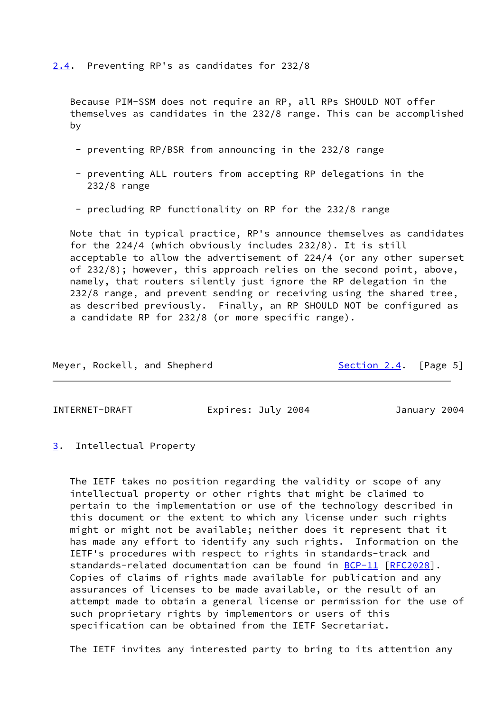<span id="page-5-0"></span>[2.4](#page-5-0). Preventing RP's as candidates for 232/8

 Because PIM-SSM does not require an RP, all RPs SHOULD NOT offer themselves as candidates in the 232/8 range. This can be accomplished by

- preventing RP/BSR from announcing in the 232/8 range
- preventing ALL routers from accepting RP delegations in the 232/8 range
- precluding RP functionality on RP for the 232/8 range

 Note that in typical practice, RP's announce themselves as candidates for the 224/4 (which obviously includes 232/8). It is still acceptable to allow the advertisement of 224/4 (or any other superset of 232/8); however, this approach relies on the second point, above, namely, that routers silently just ignore the RP delegation in the 232/8 range, and prevent sending or receiving using the shared tree, as described previously. Finally, an RP SHOULD NOT be configured as a candidate RP for 232/8 (or more specific range).

|  |  | Meyer, Rockell, and Shepherd |  |  |
|--|--|------------------------------|--|--|
|--|--|------------------------------|--|--|

[Section 2.4](#page-5-0).  $[Page 5]$ 

<span id="page-5-2"></span>

INTERNET-DRAFT Expires: July 2004 January 2004

<span id="page-5-1"></span>[3](#page-5-1). Intellectual Property

 The IETF takes no position regarding the validity or scope of any intellectual property or other rights that might be claimed to pertain to the implementation or use of the technology described in this document or the extent to which any license under such rights might or might not be available; neither does it represent that it has made any effort to identify any such rights. Information on the IETF's procedures with respect to rights in standards-track and standards-related documentation can be found in [BCP-11](https://datatracker.ietf.org/doc/pdf/bcp11) [\[RFC2028](https://datatracker.ietf.org/doc/pdf/rfc2028)]. Copies of claims of rights made available for publication and any assurances of licenses to be made available, or the result of an attempt made to obtain a general license or permission for the use of such proprietary rights by implementors or users of this specification can be obtained from the IETF Secretariat.

The IETF invites any interested party to bring to its attention any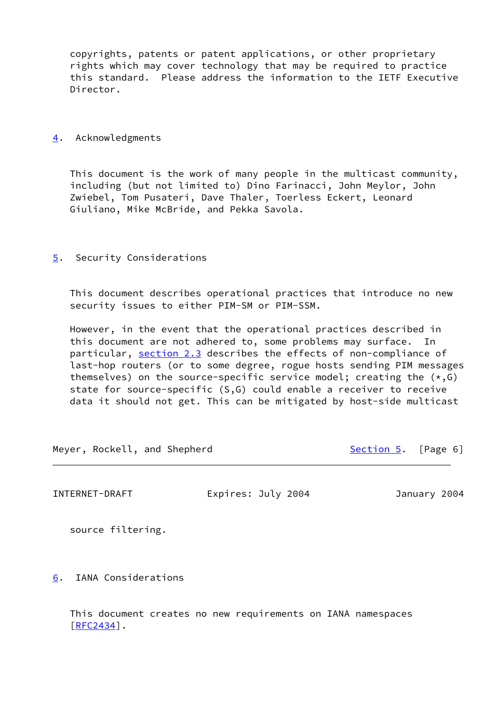copyrights, patents or patent applications, or other proprietary rights which may cover technology that may be required to practice this standard. Please address the information to the IETF Executive Director.

### <span id="page-6-0"></span>[4](#page-6-0). Acknowledgments

 This document is the work of many people in the multicast community, including (but not limited to) Dino Farinacci, John Meylor, John Zwiebel, Tom Pusateri, Dave Thaler, Toerless Eckert, Leonard Giuliano, Mike McBride, and Pekka Savola.

### <span id="page-6-1"></span>[5](#page-6-1). Security Considerations

 This document describes operational practices that introduce no new security issues to either PIM-SM or PIM-SSM.

 However, in the event that the operational practices described in this document are not adhered to, some problems may surface. In particular, [section 2.3](#page-4-0) describes the effects of non-compliance of last-hop routers (or to some degree, rogue hosts sending PIM messages themselves) on the source-specific service model; creating the  $(*, G)$  state for source-specific (S,G) could enable a receiver to receive data it should not get. This can be mitigated by host-side multicast

Meyer, Rockell, and Shepherd [Section 5](#page-6-1). [Page 6]

<span id="page-6-3"></span>INTERNET-DRAFT Expires: July 2004 January 2004

source filtering.

<span id="page-6-2"></span>[6](#page-6-2). IANA Considerations

 This document creates no new requirements on IANA namespaces [\[RFC2434](https://datatracker.ietf.org/doc/pdf/rfc2434)].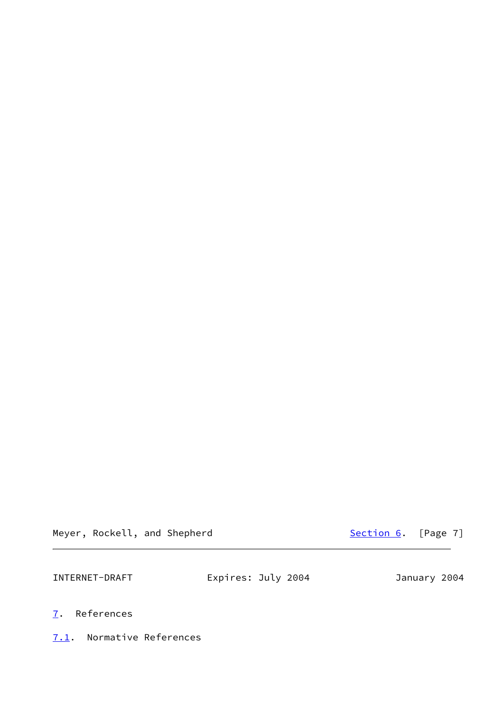|  | Meyer, Rockell, and Shepherd |  |
|--|------------------------------|--|
|--|------------------------------|--|

[Section 6](#page-6-2). [Page 7]

<span id="page-7-1"></span>INTERNET-DRAFT Expires: July 2004 January 2004

<span id="page-7-0"></span>[7](#page-7-0). References

<span id="page-7-2"></span>[7.1](#page-7-2). Normative References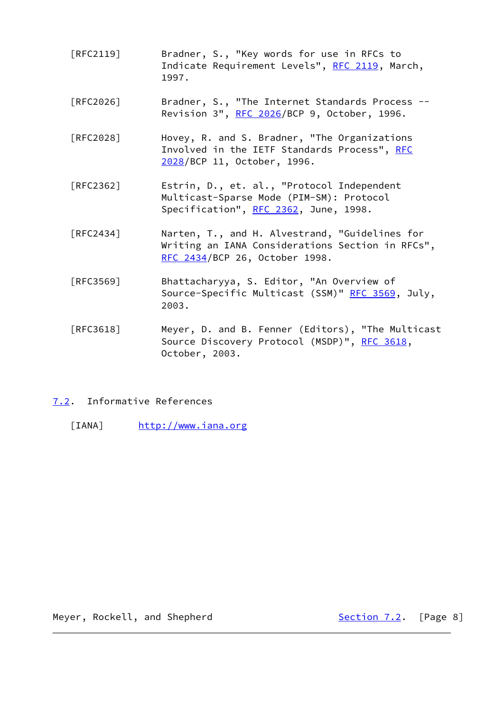- [RFC2119] Bradner, S., "Key words for use in RFCs to Indicate Requirement Levels", [RFC 2119](https://datatracker.ietf.org/doc/pdf/rfc2119), March, 1997.
- [RFC2026] Bradner, S., "The Internet Standards Process -- Revision 3", [RFC 2026](https://datatracker.ietf.org/doc/pdf/rfc2026)/BCP 9, October, 1996.
- [RFC2028] Hovey, R. and S. Bradner, "The Organizations Involved in the IETF Standards Process", [RFC](https://datatracker.ietf.org/doc/pdf/rfc2028) [2028](https://datatracker.ietf.org/doc/pdf/rfc2028)/BCP 11, October, 1996.
- [RFC2362] Estrin, D., et. al., "Protocol Independent Multicast-Sparse Mode (PIM-SM): Protocol Specification", [RFC 2362](https://datatracker.ietf.org/doc/pdf/rfc2362), June, 1998.
- [RFC2434] Narten, T., and H. Alvestrand, "Guidelines for Writing an IANA Considerations Section in RFCs", [RFC 2434](https://datatracker.ietf.org/doc/pdf/rfc2434)/BCP 26, October 1998.
- [RFC3569] Bhattacharyya, S. Editor, "An Overview of Source-Specific Multicast (SSM)" [RFC 3569](https://datatracker.ietf.org/doc/pdf/rfc3569), July, 2003.
- [RFC3618] Meyer, D. and B. Fenner (Editors), "The Multicast Source Discovery Protocol (MSDP)", [RFC 3618,](https://datatracker.ietf.org/doc/pdf/rfc3618) October, 2003.
- <span id="page-8-1"></span><span id="page-8-0"></span>[7.2](#page-8-0). Informative References
	- [IANA] <http://www.iana.org>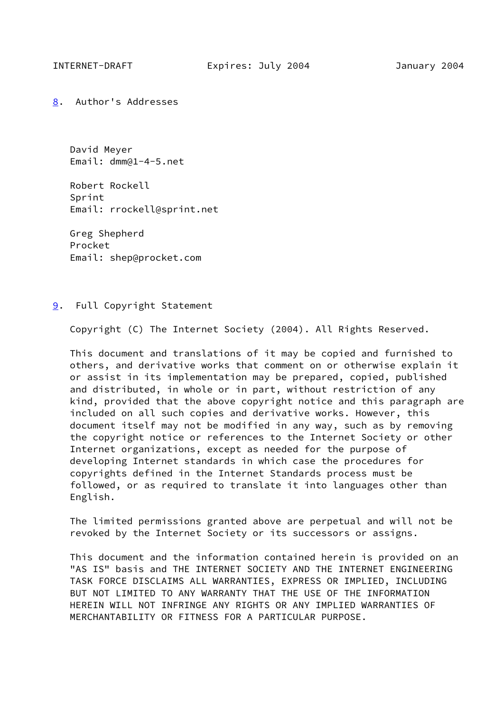<span id="page-9-1"></span><span id="page-9-0"></span>[8](#page-9-0). Author's Addresses

 David Meyer Email: dmm@1-4-5.net

 Robert Rockell Sprint Email: rrockell@sprint.net

 Greg Shepherd Procket Email: shep@procket.com

## <span id="page-9-2"></span>[9](#page-9-2). Full Copyright Statement

Copyright (C) The Internet Society (2004). All Rights Reserved.

 This document and translations of it may be copied and furnished to others, and derivative works that comment on or otherwise explain it or assist in its implementation may be prepared, copied, published and distributed, in whole or in part, without restriction of any kind, provided that the above copyright notice and this paragraph are included on all such copies and derivative works. However, this document itself may not be modified in any way, such as by removing the copyright notice or references to the Internet Society or other Internet organizations, except as needed for the purpose of developing Internet standards in which case the procedures for copyrights defined in the Internet Standards process must be followed, or as required to translate it into languages other than English.

 The limited permissions granted above are perpetual and will not be revoked by the Internet Society or its successors or assigns.

 This document and the information contained herein is provided on an "AS IS" basis and THE INTERNET SOCIETY AND THE INTERNET ENGINEERING TASK FORCE DISCLAIMS ALL WARRANTIES, EXPRESS OR IMPLIED, INCLUDING BUT NOT LIMITED TO ANY WARRANTY THAT THE USE OF THE INFORMATION HEREIN WILL NOT INFRINGE ANY RIGHTS OR ANY IMPLIED WARRANTIES OF MERCHANTABILITY OR FITNESS FOR A PARTICULAR PURPOSE.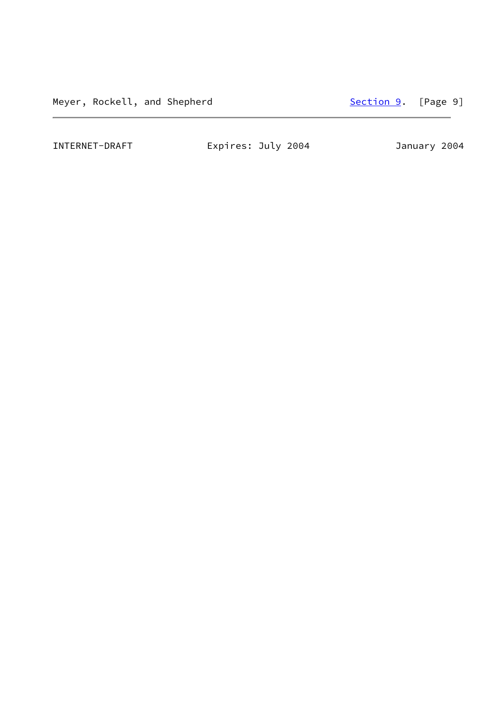INTERNET-DRAFT Expires: July 2004 January 2004